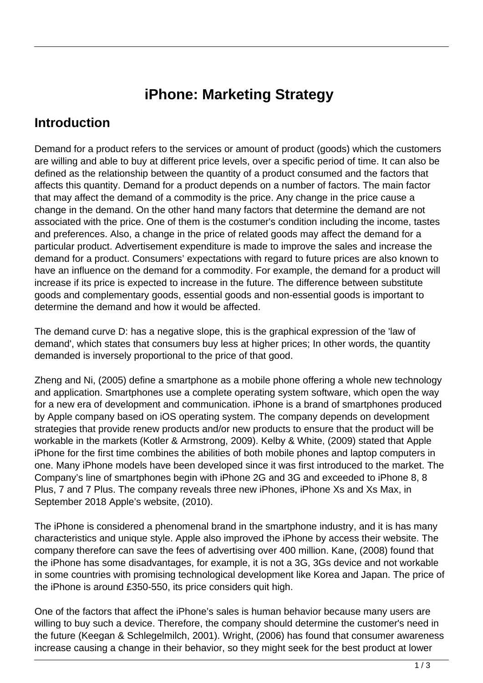## **iPhone: Marketing Strategy**

## **Introduction**

Demand for a product refers to the services or amount of product (goods) which the customers are willing and able to buy at different price levels, over a specific period of time. It can also be defined as the relationship between the quantity of a product consumed and the factors that affects this quantity. Demand for a product depends on a number of factors. The main factor that may affect the demand of a commodity is the price. Any change in the price cause a change in the demand. On the other hand many factors that determine the demand are not associated with the price. One of them is the costumer's condition including the income, tastes and preferences. Also, a change in the price of related goods may affect the demand for a particular product. Advertisement expenditure is made to improve the sales and increase the demand for a product. Consumers' expectations with regard to future prices are also known to have an influence on the demand for a commodity. For example, the demand for a product will increase if its price is expected to increase in the future. The difference between substitute goods and complementary goods, essential goods and non-essential goods is important to determine the demand and how it would be affected.

The demand curve D: has a negative slope, this is the graphical expression of the 'law of demand', which states that consumers buy less at higher prices; In other words, the quantity demanded is inversely proportional to the price of that good.

Zheng and Ni, (2005) define a smartphone as a mobile phone offering a whole new technology and application. Smartphones use a complete operating system software, which open the way for a new era of development and communication. iPhone is a brand of smartphones produced by Apple company based on iOS operating system. The company depends on development strategies that provide renew products and/or new products to ensure that the product will be workable in the markets (Kotler & Armstrong, 2009). Kelby & White, (2009) stated that Apple iPhone for the first time combines the abilities of both mobile phones and laptop computers in one. Many iPhone models have been developed since it was first introduced to the market. The Company's line of smartphones begin with iPhone 2G and 3G and exceeded to iPhone 8, 8 Plus, 7 and 7 Plus. The company reveals three new iPhones, iPhone Xs and Xs Max, in September 2018 Apple's website, (2010).

The iPhone is considered a phenomenal brand in the smartphone industry, and it is has many characteristics and unique style. Apple also improved the iPhone by access their website. The company therefore can save the fees of advertising over 400 million. Kane, (2008) found that the iPhone has some disadvantages, for example, it is not a 3G, 3Gs device and not workable in some countries with promising technological development like Korea and Japan. The price of the iPhone is around £350-550, its price considers quit high.

One of the factors that affect the iPhone's sales is human behavior because many users are willing to buy such a device. Therefore, the company should determine the customer's need in the future (Keegan & Schlegelmilch, 2001). Wright, (2006) has found that consumer awareness increase causing a change in their behavior, so they might seek for the best product at lower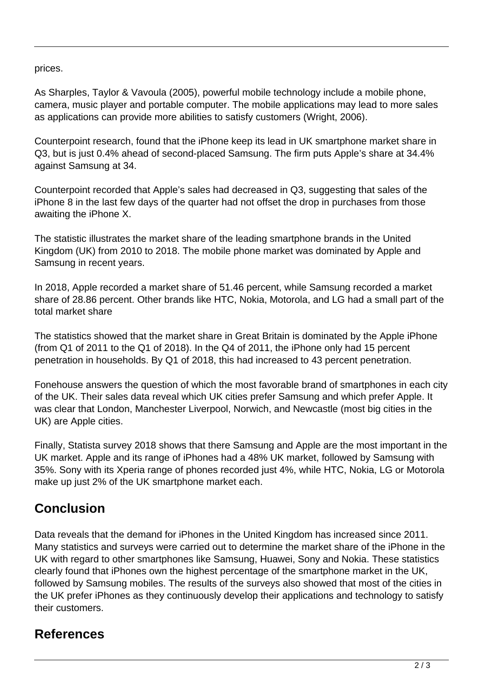prices.

As Sharples, Taylor & Vavoula (2005), powerful mobile technology include a mobile phone, camera, music player and portable computer. The mobile applications may lead to more sales as applications can provide more abilities to satisfy customers (Wright, 2006).

Counterpoint research, found that the iPhone keep its lead in UK smartphone market share in Q3, but is just 0.4% ahead of second-placed Samsung. The firm puts Apple's share at 34.4% against Samsung at 34.

Counterpoint recorded that Apple's sales had decreased in Q3, suggesting that sales of the iPhone 8 in the last few days of the quarter had not offset the drop in purchases from those awaiting the iPhone X.

The statistic illustrates the market share of the leading smartphone brands in the United Kingdom (UK) from 2010 to 2018. The mobile phone market was dominated by Apple and Samsung in recent years.

In 2018, Apple recorded a market share of 51.46 percent, while Samsung recorded a market share of 28.86 percent. Other brands like HTC, Nokia, Motorola, and LG had a small part of the total market share

The statistics showed that the market share in Great Britain is dominated by the Apple iPhone (from Q1 of 2011 to the Q1 of 2018). In the Q4 of 2011, the iPhone only had 15 percent penetration in households. By Q1 of 2018, this had increased to 43 percent penetration.

Fonehouse answers the question of which the most favorable brand of smartphones in each city of the UK. Their sales data reveal which UK cities prefer Samsung and which prefer Apple. It was clear that London, Manchester Liverpool, Norwich, and Newcastle (most big cities in the UK) are Apple cities.

Finally, Statista survey 2018 shows that there Samsung and Apple are the most important in the UK market. Apple and its range of iPhones had a 48% UK market, followed by Samsung with 35%. Sony with its Xperia range of phones recorded just 4%, while HTC, Nokia, LG or Motorola make up just 2% of the UK smartphone market each.

## **Conclusion**

Data reveals that the demand for iPhones in the United Kingdom has increased since 2011. Many statistics and surveys were carried out to determine the market share of the iPhone in the UK with regard to other smartphones like Samsung, Huawei, Sony and Nokia. These statistics clearly found that iPhones own the highest percentage of the smartphone market in the UK, followed by Samsung mobiles. The results of the surveys also showed that most of the cities in the UK prefer iPhones as they continuously develop their applications and technology to satisfy their customers.

## **References**